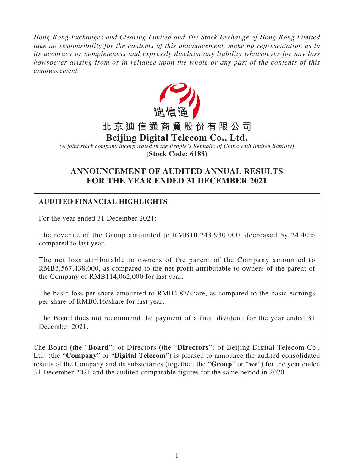*Hong Kong Exchanges and Clearing Limited and The Stock Exchange of Hong Kong Limited take no responsibility for the contents of this announcement, make no representation as to its accuracy or completeness and expressly disclaim any liability whatsoever for any loss howsoever arising from or in reliance upon the whole or any part of the contents of this announcement.*



*(A joint stock company incorporated in the People's Republic of China with limited liability)* **(Stock Code: 6188)**

# **ANNOUNCEMENT OF AUDITED ANNUAL RESULTS FOR THE YEAR ENDED 31 DECEMBER 2021**

# **AUDITED FINANCIAL HIGHLIGHTS**

For the year ended 31 December 2021:

The revenue of the Group amounted to RMB10,243,930,000, decreased by 24.40% compared to last year.

The net loss attributable to owners of the parent of the Company amounted to RMB3,567,438,000, as compared to the net profit attributable to owners of the parent of the Company of RMB114,062,000 for last year.

The basic loss per share amounted to RMB4.87/share, as compared to the basic earnings per share of RMB0.16/share for last year.

The Board does not recommend the payment of a final dividend for the year ended 31 December 2021.

The Board (the "**Board**") of Directors (the "**Directors**") of Beijing Digital Telecom Co., Ltd. (the "**Company**" or "**Digital Telecom**") is pleased to announce the audited consolidated results of the Company and its subsidiaries (together, the "**Group**" or "**we**") for the year ended 31 December 2021 and the audited comparable figures for the same period in 2020.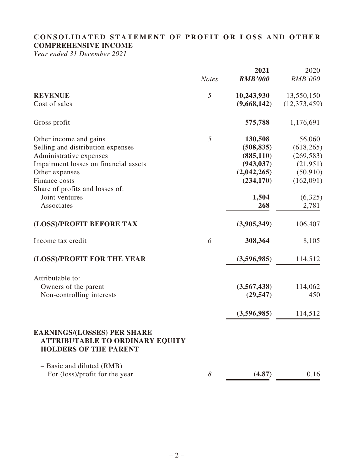# **CONSOLIDATED STATEMENT OF PROFIT OR LOSS AND OTHER COMPREHENSIVE INCOME**

*Year ended 31 December 2021*

|                                                                                                              |                       | 2021           | 2020           |
|--------------------------------------------------------------------------------------------------------------|-----------------------|----------------|----------------|
|                                                                                                              | <b>Notes</b>          | <b>RMB'000</b> | <b>RMB'000</b> |
| <b>REVENUE</b>                                                                                               | 5                     | 10,243,930     | 13,550,150     |
| Cost of sales                                                                                                |                       | (9,668,142)    | (12, 373, 459) |
| Gross profit                                                                                                 |                       | 575,788        | 1,176,691      |
| Other income and gains                                                                                       | 5                     | 130,508        | 56,060         |
| Selling and distribution expenses                                                                            |                       | (508, 835)     | (618, 265)     |
| Administrative expenses                                                                                      |                       | (885, 110)     | (269, 583)     |
| Impairment losses on financial assets                                                                        |                       | (943, 037)     | (21, 951)      |
| Other expenses                                                                                               |                       | (2,042,265)    | (50, 910)      |
| Finance costs                                                                                                |                       | (234, 170)     | (162,091)      |
| Share of profits and losses of:<br>Joint ventures                                                            |                       | 1,504          | (6,325)        |
| Associates                                                                                                   |                       | 268            | 2,781          |
| (LOSS)/PROFIT BEFORE TAX                                                                                     |                       | (3,905,349)    | 106,407        |
| Income tax credit                                                                                            | 6                     | 308,364        | 8,105          |
| (LOSS)/PROFIT FOR THE YEAR                                                                                   |                       | (3,596,985)    | 114,512        |
| Attributable to:                                                                                             |                       |                |                |
| Owners of the parent                                                                                         |                       | (3,567,438)    | 114,062        |
| Non-controlling interests                                                                                    |                       | (29, 547)      | 450            |
|                                                                                                              |                       | (3,596,985)    | 114,512        |
| <b>EARNINGS/(LOSSES) PER SHARE</b><br><b>ATTRIBUTABLE TO ORDINARY EQUITY</b><br><b>HOLDERS OF THE PARENT</b> |                       |                |                |
| - Basic and diluted (RMB)                                                                                    |                       |                |                |
| For (loss)/profit for the year                                                                               | $\boldsymbol{\delta}$ | (4.87)         | 0.16           |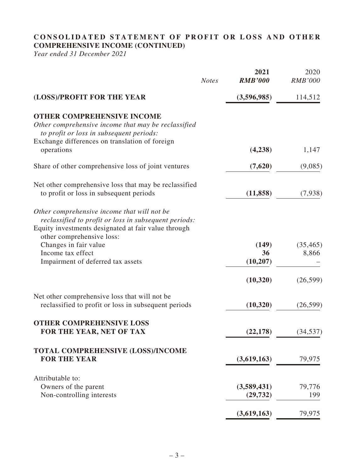# **CONSOLIDATED STATEMENT OF PROFIT OR LOSS AND OTHER COMPREHENSIVE INCOME (CONTINUED)**

*Year ended 31 December 2021*

|                                                                                                                                                                                                                   | <b>Notes</b> | 2021<br><b>RMB'000</b>   | 2020<br><b>RMB'000</b> |
|-------------------------------------------------------------------------------------------------------------------------------------------------------------------------------------------------------------------|--------------|--------------------------|------------------------|
| (LOSS)/PROFIT FOR THE YEAR                                                                                                                                                                                        |              | (3,596,985)              | 114,512                |
| <b>OTHER COMPREHENSIVE INCOME</b><br>Other comprehensive income that may be reclassified<br>to profit or loss in subsequent periods:<br>Exchange differences on translation of foreign                            |              |                          |                        |
| operations                                                                                                                                                                                                        |              | (4,238)                  | 1,147                  |
| Share of other comprehensive loss of joint ventures                                                                                                                                                               |              | (7,620)                  | (9,085)                |
| Net other comprehensive loss that may be reclassified<br>to profit or loss in subsequent periods                                                                                                                  |              | (11, 858)                | (7,938)                |
| Other comprehensive income that will not be<br>reclassified to profit or loss in subsequent periods:<br>Equity investments designated at fair value through<br>other comprehensive loss:<br>Changes in fair value |              | (149)                    | (35, 465)              |
| Income tax effect<br>Impairment of deferred tax assets                                                                                                                                                            |              | 36<br>(10,207)           | 8,866                  |
|                                                                                                                                                                                                                   |              | (10, 320)                | (26, 599)              |
| Net other comprehensive loss that will not be<br>reclassified to profit or loss in subsequent periods                                                                                                             |              | (10, 320)                | (26, 599)              |
| <b>OTHER COMPREHENSIVE LOSS</b><br>FOR THE YEAR, NET OF TAX                                                                                                                                                       |              | (22, 178)                | (34, 537)              |
| <b>TOTAL COMPREHENSIVE (LOSS)/INCOME</b><br><b>FOR THE YEAR</b>                                                                                                                                                   |              | (3,619,163)              | 79,975                 |
| Attributable to:<br>Owners of the parent<br>Non-controlling interests                                                                                                                                             |              | (3,589,431)<br>(29, 732) | 79,776<br>199          |
|                                                                                                                                                                                                                   |              | (3,619,163)              | 79,975                 |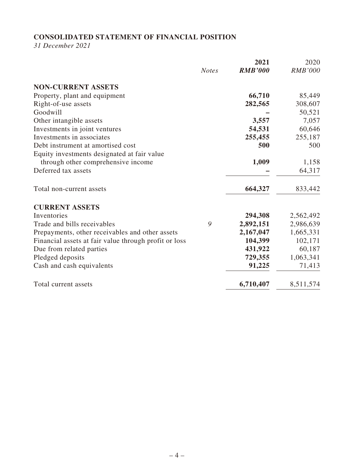# **CONSOLIDATED STATEMENT OF FINANCIAL POSITION**

*31 December 2021*

|                                                       |              | 2021           | 2020           |
|-------------------------------------------------------|--------------|----------------|----------------|
|                                                       | <b>Notes</b> | <b>RMB'000</b> | <b>RMB'000</b> |
| <b>NON-CURRENT ASSETS</b>                             |              |                |                |
| Property, plant and equipment                         |              | 66,710         | 85,449         |
| Right-of-use assets                                   |              | 282,565        | 308,607        |
| Goodwill                                              |              |                | 50,521         |
| Other intangible assets                               |              | 3,557          | 7,057          |
| Investments in joint ventures                         |              | 54,531         | 60,646         |
| Investments in associates                             |              | 255,455        | 255,187        |
| Debt instrument at amortised cost                     |              | 500            | 500            |
| Equity investments designated at fair value           |              |                |                |
| through other comprehensive income                    |              | 1,009          | 1,158          |
| Deferred tax assets                                   |              |                | 64,317         |
| Total non-current assets                              |              | 664,327        | 833,442        |
| <b>CURRENT ASSETS</b>                                 |              |                |                |
| Inventories                                           |              | 294,308        | 2,562,492      |
| Trade and bills receivables                           | 9            | 2,892,151      | 2,986,639      |
| Prepayments, other receivables and other assets       |              | 2,167,047      | 1,665,331      |
| Financial assets at fair value through profit or loss |              | 104,399        | 102,171        |
| Due from related parties                              |              | 431,922        | 60,187         |
| Pledged deposits                                      |              | 729,355        | 1,063,341      |
| Cash and cash equivalents                             |              | 91,225         | 71,413         |
| Total current assets                                  |              | 6,710,407      | 8,511,574      |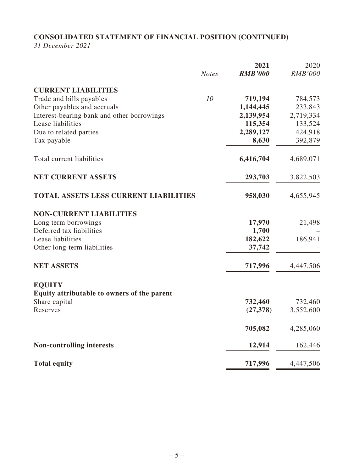# **CONSOLIDATED STATEMENT OF FINANCIAL POSITION (CONTINUED)**

*31 December 2021*

|                                              | <b>Notes</b> | 2021<br><b>RMB'000</b> | 2020<br><b>RMB'000</b> |
|----------------------------------------------|--------------|------------------------|------------------------|
| <b>CURRENT LIABILITIES</b>                   |              |                        |                        |
| Trade and bills payables                     | 10           | 719,194                | 784,573                |
| Other payables and accruals                  |              | 1,144,445              | 233,843                |
| Interest-bearing bank and other borrowings   |              | 2,139,954              | 2,719,334              |
| Lease liabilities                            |              | 115,354                | 133,524                |
| Due to related parties                       |              | 2,289,127              | 424,918                |
| Tax payable                                  |              | 8,630                  | 392,879                |
| Total current liabilities                    |              | 6,416,704              | 4,689,071              |
| <b>NET CURRENT ASSETS</b>                    |              | 293,703                | 3,822,503              |
| <b>TOTAL ASSETS LESS CURRENT LIABILITIES</b> |              | 958,030                | 4,655,945              |
| <b>NON-CURRENT LIABILITIES</b>               |              |                        |                        |
| Long term borrowings                         |              | 17,970                 | 21,498                 |
| Deferred tax liabilities                     |              | 1,700                  |                        |
| Lease liabilities                            |              | 182,622                | 186,941                |
| Other long-term liabilities                  |              | 37,742                 |                        |
| <b>NET ASSETS</b>                            |              | 717,996                | 4,447,506              |
| <b>EQUITY</b>                                |              |                        |                        |
| Equity attributable to owners of the parent  |              |                        |                        |
| Share capital                                |              | 732,460                | 732,460                |
| Reserves                                     |              | (27,378)               | 3,552,600              |
|                                              |              | 705,082                | 4,285,060              |
| <b>Non-controlling interests</b>             |              | 12,914                 | 162,446                |
| <b>Total equity</b>                          |              | 717,996                | 4,447,506              |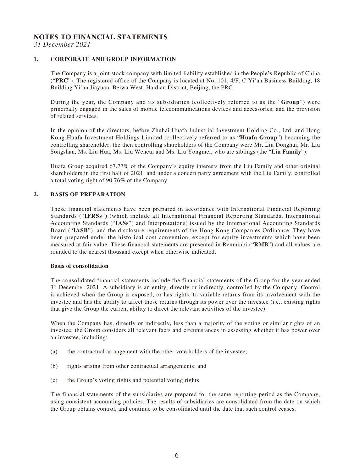# **NOTES TO FINANCIAL STATEMENTS**

*31 December 2021*

#### **1. CORPORATE AND GROUP INFORMATION**

The Company is a joint stock company with limited liability established in the People's Republic of China ("**PRC**"). The registered office of the Company is located at No. 101, 4/F, C Yi'an Business Building, 18 Building Yi'an Jiayuan, Beiwa West, Haidian District, Beijing, the PRC.

During the year, the Company and its subsidiaries (collectively referred to as the "**Group**") were principally engaged in the sales of mobile telecommunications devices and accessories, and the provision of related services.

In the opinion of the directors, before Zhuhai Huafa Industrial Investment Holding Co., Ltd. and Hong Kong Huafa Investment Holdings Limited (collectively referred to as "**Huafa Group**") becoming the controlling shareholder, the then controlling shareholders of the Company were Mr. Liu Donghai, Mr. Liu Songshan, Ms. Liu Hua, Ms. Liu Wencui and Ms. Liu Yongmei, who are siblings (the "**Liu Family**").

Huafa Group acquired 67.77% of the Company's equity interests from the Liu Family and other original shareholders in the first half of 2021, and under a concert party agreement with the Liu Family, controlled a total voting right of 90.76% of the Company.

#### **2. BASIS OF PREPARATION**

These financial statements have been prepared in accordance with International Financial Reporting Standards ("**IFRSs**") (which include all International Financial Reporting Standards, International Accounting Standards ("**IASs**") and Interpretations) issued by the International Accounting Standards Board ("**IASB**"), and the disclosure requirements of the Hong Kong Companies Ordinance. They have been prepared under the historical cost convention, except for equity investments which have been measured at fair value. These financial statements are presented in Renminbi ("**RMB**") and all values are rounded to the nearest thousand except when otherwise indicated.

#### **Basis of consolidation**

The consolidated financial statements include the financial statements of the Group for the year ended 31 December 2021. A subsidiary is an entity, directly or indirectly, controlled by the Company. Control is achieved when the Group is exposed, or has rights, to variable returns from its involvement with the investee and has the ability to affect those returns through its power over the investee (i.e., existing rights that give the Group the current ability to direct the relevant activities of the investee).

When the Company has, directly or indirectly, less than a majority of the voting or similar rights of an investee, the Group considers all relevant facts and circumstances in assessing whether it has power over an investee, including:

- (a) the contractual arrangement with the other vote holders of the investee;
- (b) rights arising from other contractual arrangements; and
- (c) the Group's voting rights and potential voting rights.

The financial statements of the subsidiaries are prepared for the same reporting period as the Company, using consistent accounting policies. The results of subsidiaries are consolidated from the date on which the Group obtains control, and continue to be consolidated until the date that such control ceases.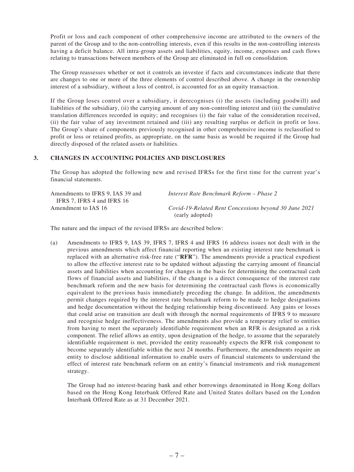Profit or loss and each component of other comprehensive income are attributed to the owners of the parent of the Group and to the non-controlling interests, even if this results in the non-controlling interests having a deficit balance. All intra-group assets and liabilities, equity, income, expenses and cash flows relating to transactions between members of the Group are eliminated in full on consolidation.

The Group reassesses whether or not it controls an investee if facts and circumstances indicate that there are changes to one or more of the three elements of control described above. A change in the ownership interest of a subsidiary, without a loss of control, is accounted for as an equity transaction.

If the Group loses control over a subsidiary, it derecognises (i) the assets (including goodwill) and liabilities of the subsidiary, (ii) the carrying amount of any non-controlling interest and (iii) the cumulative translation differences recorded in equity; and recognises (i) the fair value of the consideration received, (ii) the fair value of any investment retained and (iii) any resulting surplus or deficit in profit or loss. The Group's share of components previously recognised in other comprehensive income is reclassified to profit or loss or retained profits, as appropriate, on the same basis as would be required if the Group had directly disposed of the related assets or liabilities.

#### **3. CHANGES IN ACCOUNTING POLICIES AND DISCLOSURES**

The Group has adopted the following new and revised IFRSs for the first time for the current year's financial statements.

| Amendments to IFRS 9. IAS 39 and | Interest Rate Benchmark Reform – Phase 2              |
|----------------------------------|-------------------------------------------------------|
| IFRS 7, IFRS 4 and IFRS 16       |                                                       |
| Amendment to IAS 16              | Covid-19-Related Rent Concessions beyond 30 June 2021 |
|                                  | (early adopted)                                       |

The nature and the impact of the revised IFRSs are described below:

(a) Amendments to IFRS 9, IAS 39, IFRS 7, IFRS 4 and IFRS 16 address issues not dealt with in the previous amendments which affect financial reporting when an existing interest rate benchmark is replaced with an alternative risk-free rate ("**RFR**"). The amendments provide a practical expedient to allow the effective interest rate to be updated without adjusting the carrying amount of financial assets and liabilities when accounting for changes in the basis for determining the contractual cash flows of financial assets and liabilities, if the change is a direct consequence of the interest rate benchmark reform and the new basis for determining the contractual cash flows is economically equivalent to the previous basis immediately preceding the change. In addition, the amendments permit changes required by the interest rate benchmark reform to be made to hedge designations and hedge documentation without the hedging relationship being discontinued. Any gains or losses that could arise on transition are dealt with through the normal requirements of IFRS 9 to measure and recognise hedge ineffectiveness. The amendments also provide a temporary relief to entities from having to meet the separately identifiable requirement when an RFR is designated as a risk component. The relief allows an entity, upon designation of the hedge, to assume that the separately identifiable requirement is met, provided the entity reasonably expects the RFR risk component to become separately identifiable within the next 24 months. Furthermore, the amendments require an entity to disclose additional information to enable users of financial statements to understand the effect of interest rate benchmark reform on an entity's financial instruments and risk management strategy.

The Group had no interest-bearing bank and other borrowings denominated in Hong Kong dollars based on the Hong Kong Interbank Offered Rate and United States dollars based on the London Interbank Offered Rate as at 31 December 2021.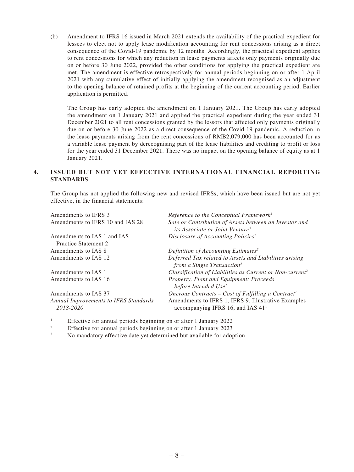(b) Amendment to IFRS 16 issued in March 2021 extends the availability of the practical expedient for lessees to elect not to apply lease modification accounting for rent concessions arising as a direct consequence of the Covid-19 pandemic by 12 months. Accordingly, the practical expedient applies to rent concessions for which any reduction in lease payments affects only payments originally due on or before 30 June 2022, provided the other conditions for applying the practical expedient are met. The amendment is effective retrospectively for annual periods beginning on or after 1 April 2021 with any cumulative effect of initially applying the amendment recognised as an adjustment to the opening balance of retained profits at the beginning of the current accounting period. Earlier application is permitted.

The Group has early adopted the amendment on 1 January 2021. The Group has early adopted the amendment on 1 January 2021 and applied the practical expedient during the year ended 31 December 2021 to all rent concessions granted by the lessors that affected only payments originally due on or before 30 June 2022 as a direct consequence of the Covid-19 pandemic. A reduction in the lease payments arising from the rent concessions of RMB2,079,000 has been accounted for as a variable lease payment by derecognising part of the lease liabilities and crediting to profit or loss for the year ended 31 December 2021. There was no impact on the opening balance of equity as at 1 January 2021.

#### **4. ISSUED BUT NOT YET EFFECTIVE INTERNATIONAL FINANCIAL REPORTING STANDARDS**

The Group has not applied the following new and revised IFRSs, which have been issued but are not yet effective, in the financial statements:

| Amendments to IFRS 3                               | Reference to the Conceptual Framework <sup>1</sup>                                                    |
|----------------------------------------------------|-------------------------------------------------------------------------------------------------------|
| Amendments to IFRS 10 and IAS 28                   | Sale or Contribution of Assets between an Investor and<br>its Associate or Joint Venture <sup>3</sup> |
| Amendments to IAS 1 and IAS                        | Disclosure of Accounting Policies <sup>2</sup>                                                        |
| Practice Statement 2                               |                                                                                                       |
| Amendments to IAS 8                                | Definition of Accounting Estimates <sup>2</sup>                                                       |
| Amendments to IAS 12                               | Deferred Tax related to Assets and Liabilities arising<br>from a Single Transaction <sup>2</sup>      |
| Amendments to IAS 1                                | Classification of Liabilities as Current or Non-current <sup>2</sup>                                  |
| Amendments to IAS 16                               | Property, Plant and Equipment: Proceeds<br>before Intended Use <sup>1</sup>                           |
| Amendments to IAS 37                               | Onerous Contracts – Cost of Fulfilling a Contract <sup>1</sup>                                        |
| Annual Improvements to IFRS Standards<br>2018-2020 | Amendments to IFRS 1, IFRS 9, Illustrative Examples<br>accompanying IFRS 16, and IAS 41 <sup>1</sup>  |

1 Effective for annual periods beginning on or after 1 January 2022

2 Effective for annual periods beginning on or after 1 January 2023

3 No mandatory effective date yet determined but available for adoption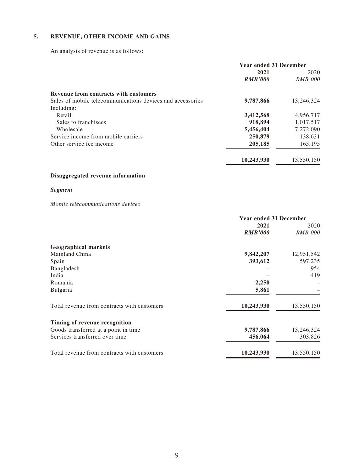#### **5. REVENUE, OTHER INCOME AND GAINS**

An analysis of revenue is as follows:

|                                                            | <b>Year ended 31 December</b> |                |
|------------------------------------------------------------|-------------------------------|----------------|
|                                                            | 2021                          | 2020           |
|                                                            | <b>RMB'000</b>                | <i>RMB'000</i> |
| <b>Revenue from contracts with customers</b>               |                               |                |
| Sales of mobile telecommunications devices and accessories | 9,787,866                     | 13,246,324     |
| Including:                                                 |                               |                |
| Retail                                                     | 3,412,568                     | 4,956,717      |
| Sales to franchisees                                       | 918,894                       | 1,017,517      |
| Wholesale                                                  | 5,456,404                     | 7,272,090      |
| Service income from mobile carriers                        | 250,879                       | 138,631        |
| Other service fee income                                   | 205,185                       | 165,195        |
|                                                            | 10,243,930                    | 13,550,150     |

# **Disaggregated revenue information**

### *Segment*

#### *Mobile telecommunications devices*

|                                             | <b>Year ended 31 December</b> |                |
|---------------------------------------------|-------------------------------|----------------|
|                                             | 2021                          | 2020           |
|                                             | <b>RMB'000</b>                | <i>RMB'000</i> |
| <b>Geographical markets</b>                 |                               |                |
| Mainland China                              | 9,842,207                     | 12,951,542     |
| Spain                                       | 393,612                       | 597,235        |
| Bangladesh                                  |                               | 954            |
| India                                       |                               | 419            |
| Romania                                     | 2,250                         |                |
| Bulgaria                                    | 5,861                         |                |
| Total revenue from contracts with customers | 10,243,930                    | 13,550,150     |
| Timing of revenue recognition               |                               |                |
| Goods transferred at a point in time        | 9,787,866                     | 13,246,324     |
| Services transferred over time              | 456,064                       | 303,826        |
| Total revenue from contracts with customers | 10,243,930                    | 13,550,150     |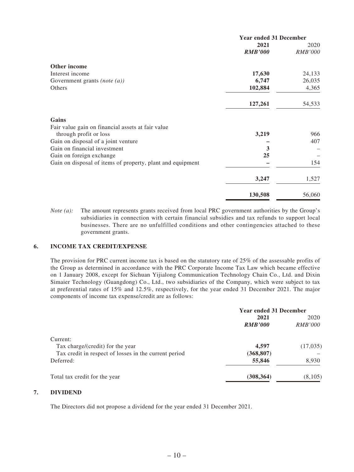|                                                            | <b>Year ended 31 December</b> |                |
|------------------------------------------------------------|-------------------------------|----------------|
|                                                            | 2021                          | 2020           |
|                                                            | <b>RMB'000</b>                | <b>RMB'000</b> |
| Other income                                               |                               |                |
| Interest income                                            | 17,630                        | 24,133         |
| Government grants (note $(a)$ )                            | 6,747                         | 26,035         |
| Others                                                     | 102,884                       | 4,365          |
|                                                            | 127,261                       | 54,533         |
| Gains                                                      |                               |                |
| Fair value gain on financial assets at fair value          |                               |                |
| through profit or loss                                     | 3,219                         | 966            |
| Gain on disposal of a joint venture                        |                               | 407            |
| Gain on financial investment                               | 3                             |                |
| Gain on foreign exchange                                   | 25                            |                |
| Gain on disposal of items of property, plant and equipment |                               | 154            |
|                                                            | 3,247                         | 1,527          |
|                                                            | 130,508                       | 56,060         |

*Note (a):* The amount represents grants received from local PRC government authorities by the Group's subsidiaries in connection with certain financial subsidies and tax refunds to support local businesses. There are no unfulfilled conditions and other contingencies attached to these government grants.

#### **6. INCOME TAX CREDIT/EXPENSE**

The provision for PRC current income tax is based on the statutory rate of 25% of the assessable profits of the Group as determined in accordance with the PRC Corporate Income Tax Law which became effective on 1 January 2008, except for Sichuan Yijialong Communication Technology Chain Co., Ltd. and Dixin Simaier Technology (Guangdong) Co., Ltd., two subsidiaries of the Company, which were subject to tax at preferential rates of 15% and 12.5%, respectively, for the year ended 31 December 2021. The major components of income tax expense/credit are as follows:

|                                                       | <b>Year ended 31 December</b> |                |
|-------------------------------------------------------|-------------------------------|----------------|
|                                                       | 2021                          | 2020           |
|                                                       | <b>RMB'000</b>                | <i>RMB'000</i> |
| Current:                                              |                               |                |
| Tax charge/(credit) for the year                      | 4,597                         | (17,035)       |
| Tax credit in respect of losses in the current period | (368, 807)                    |                |
| Deferred:                                             | 55,846                        | 8,930          |
| Total tax credit for the year                         | (308, 364)                    | (8,105)        |

#### **7. DIVIDEND**

The Directors did not propose a dividend for the year ended 31 December 2021.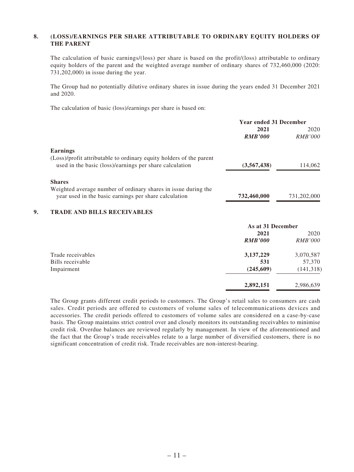#### **8. (LOSS)/EARNINGS PER SHARE ATTRIBUTABLE TO ORDINARY EQUITY HOLDERS OF THE PARENT**

The calculation of basic earnings/(loss) per share is based on the profit/(loss) attributable to ordinary equity holders of the parent and the weighted average number of ordinary shares of 732,460,000 (2020: 731,202,000) in issue during the year.

The Group had no potentially dilutive ordinary shares in issue during the years ended 31 December 2021 and 2020.

The calculation of basic (loss)/earnings per share is based on:

|    |                                                                     | <b>Year ended 31 December</b> |                |
|----|---------------------------------------------------------------------|-------------------------------|----------------|
|    |                                                                     | 2021                          | 2020           |
|    |                                                                     | <b>RMB'000</b>                | RMB'000        |
|    | <b>Earnings</b>                                                     |                               |                |
|    | (Loss)/profit attributable to ordinary equity holders of the parent |                               |                |
|    | used in the basic (loss)/earnings per share calculation             | (3,567,438)                   | 114,062        |
|    | <b>Shares</b>                                                       |                               |                |
|    | Weighted average number of ordinary shares in issue during the      |                               |                |
|    | year used in the basic earnings per share calculation               | 732,460,000                   | 731,202,000    |
| 9. | <b>TRADE AND BILLS RECEIVABLES</b>                                  |                               |                |
|    |                                                                     | As at 31 December             |                |
|    |                                                                     | 2021                          | 2020           |
|    |                                                                     | <b>RMB'000</b>                | <b>RMB'000</b> |
|    | Trade receivables                                                   | 3,137,229                     | 3,070,587      |
|    | Bills receivable                                                    | 531                           | 57,370         |
|    | Impairment                                                          | (245,609)                     | (141, 318)     |
|    |                                                                     | 2,892,151                     | 2,986,639      |

The Group grants different credit periods to customers. The Group's retail sales to consumers are cash sales. Credit periods are offered to customers of volume sales of telecommunications devices and accessories. The credit periods offered to customers of volume sales are considered on a case-by-case basis. The Group maintains strict control over and closely monitors its outstanding receivables to minimise credit risk. Overdue balances are reviewed regularly by management. In view of the aforementioned and the fact that the Group's trade receivables relate to a large number of diversified customers, there is no significant concentration of credit risk. Trade receivables are non-interest-bearing.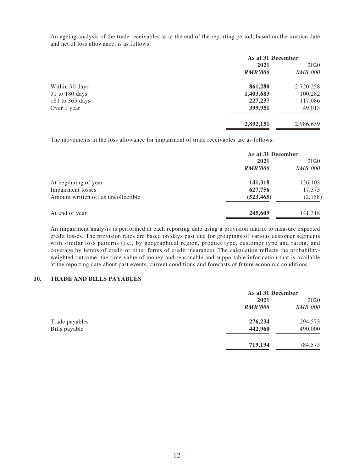An ageing analysis of the trade receivables as at the end of the reporting period, based on the invoice date and net of loss allowance, is as follows:

|                 | As at 31 December |                |
|-----------------|-------------------|----------------|
|                 | 2021              | 2020           |
|                 | <b>RMB'000</b>    | <i>RMB'000</i> |
| Within 90 days  | 861,280           | 2,720,258      |
| 91 to 180 days  | 1,403,683         | 100,282        |
| 181 to 365 days | 227,237           | 117,086        |
| Over 1 year     | 399,951           | 49,013         |
|                 | 2,892,151         | 2,986,639      |

The movements in the loss allowance for impairment of trade receivables are as follows:

|                                     | As at 31 December |                |
|-------------------------------------|-------------------|----------------|
|                                     | 2021              | 2020           |
|                                     | <b>RMB'000</b>    | <i>RMB'000</i> |
| At beginning of year                | 141,318           | 126,103        |
| <b>Impairment</b> losses            | 627,756           | 17,373         |
| Amount written off as uncollectible | (523, 465)        | (2,158)        |
| At end of year                      | 245,609           | 141,318        |

An impairment analysis is performed at each reporting date using a provision matrix to measure expected credit losses. The provision rates are based on days past due for groupings of various customer segments with similar loss patterns (i.e., by geographical region, product type, customer type and rating, and coverage by letters of credit or other forms of credit insurance). The calculation reflects the probabilityweighted outcome, the time value of money and reasonable and supportable information that is available at the reporting date about past events, current conditions and forecasts of future economic conditions.

#### **10. TRADE AND BILLS PAYABLES**

|                | As at 31 December |                |
|----------------|-------------------|----------------|
|                | 2021              | 2020           |
|                | <b>RMB'000</b>    | <i>RMB'000</i> |
| Trade payables | 276,234           | 294,573        |
| Bills payable  | 442,960           | 490,000        |
|                | 719,194           | 784,573        |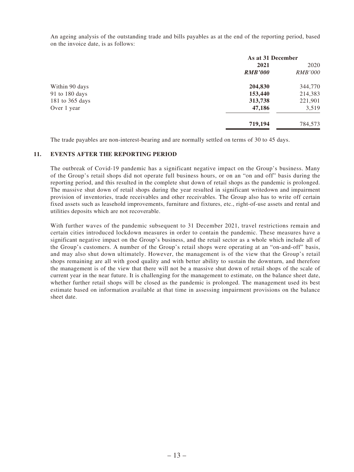An ageing analysis of the outstanding trade and bills payables as at the end of the reporting period, based on the invoice date, is as follows:

|                 | As at 31 December |                |
|-----------------|-------------------|----------------|
|                 | 2021              | 2020           |
|                 | <b>RMB'000</b>    | <i>RMB'000</i> |
| Within 90 days  | 204,830           | 344,770        |
| 91 to 180 days  | 153,440           | 214,383        |
| 181 to 365 days | 313,738           | 221,901        |
| Over 1 year     | 47,186            | 3,519          |
|                 | 719,194           | 784,573        |

The trade payables are non-interest-bearing and are normally settled on terms of 30 to 45 days.

#### **11. EVENTS AFTER THE REPORTING PERIOD**

The outbreak of Covid-19 pandemic has a significant negative impact on the Group's business. Many of the Group's retail shops did not operate full business hours, or on an "on and off" basis during the reporting period, and this resulted in the complete shut down of retail shops as the pandemic is prolonged. The massive shut down of retail shops during the year resulted in significant writedown and impairment provision of inventories, trade receivables and other receivables. The Group also has to write off certain fixed assets such as leasehold improvements, furniture and fixtures, etc., right-of-use assets and rental and utilities deposits which are not recoverable.

With further waves of the pandemic subsequent to 31 December 2021, travel restrictions remain and certain cities introduced lockdown measures in order to contain the pandemic. These measures have a significant negative impact on the Group's business, and the retail sector as a whole which include all of the Group's customers. A number of the Group's retail shops were operating at an "on-and-off" basis, and may also shut down ultimately. However, the management is of the view that the Group's retail shops remaining are all with good quality and with better ability to sustain the downturn, and therefore the management is of the view that there will not be a massive shut down of retail shops of the scale of current year in the near future. It is challenging for the management to estimate, on the balance sheet date, whether further retail shops will be closed as the pandemic is prolonged. The management used its best estimate based on information available at that time in assessing impairment provisions on the balance sheet date.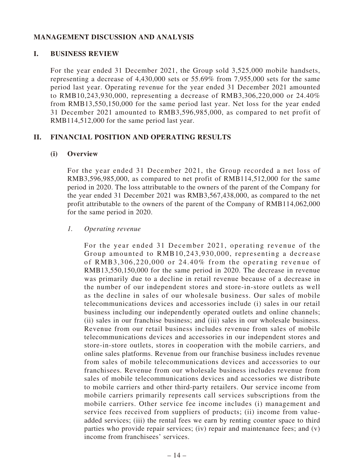# **MANAGEMENT DISCUSSION AND ANALYSIS**

## **I. BUSINESS REVIEW**

For the year ended 31 December 2021, the Group sold 3,525,000 mobile handsets, representing a decrease of 4,430,000 sets or 55.69% from 7,955,000 sets for the same period last year. Operating revenue for the year ended 31 December 2021 amounted to RMB10,243,930,000, representing a decrease of RMB3,306,220,000 or 24.40% from RMB13,550,150,000 for the same period last year. Net loss for the year ended 31 December 2021 amounted to RMB3,596,985,000, as compared to net profit of RMB114,512,000 for the same period last year.

# **II. FINANCIAL POSITION AND OPERATING RESULTS**

### **(i) Overview**

For the year ended 31 December 2021, the Group recorded a net loss of RMB3,596,985,000, as compared to net profit of RMB114,512,000 for the same period in 2020. The loss attributable to the owners of the parent of the Company for the year ended 31 December 2021 was RMB3,567,438,000, as compared to the net profit attributable to the owners of the parent of the Company of RMB114,062,000 for the same period in 2020.

### *1. Operating revenue*

For the year ended 31 December 2021, operating revenue of the Group amounted to RMB10,243,930,000, representing a decrease of RMB3,306,220,000 or 24.40% from the operating revenue of RMB13,550,150,000 for the same period in 2020. The decrease in revenue was primarily due to a decline in retail revenue because of a decrease in the number of our independent stores and store-in-store outlets as well as the decline in sales of our wholesale business. Our sales of mobile telecommunications devices and accessories include (i) sales in our retail business including our independently operated outlets and online channels; (ii) sales in our franchise business; and (iii) sales in our wholesale business. Revenue from our retail business includes revenue from sales of mobile telecommunications devices and accessories in our independent stores and store-in-store outlets, stores in cooperation with the mobile carriers, and online sales platforms. Revenue from our franchise business includes revenue from sales of mobile telecommunications devices and accessories to our franchisees. Revenue from our wholesale business includes revenue from sales of mobile telecommunications devices and accessories we distribute to mobile carriers and other third-party retailers. Our service income from mobile carriers primarily represents call services subscriptions from the mobile carriers. Other service fee income includes (i) management and service fees received from suppliers of products; (ii) income from valueadded services; (iii) the rental fees we earn by renting counter space to third parties who provide repair services; (iv) repair and maintenance fees; and (v) income from franchisees' services.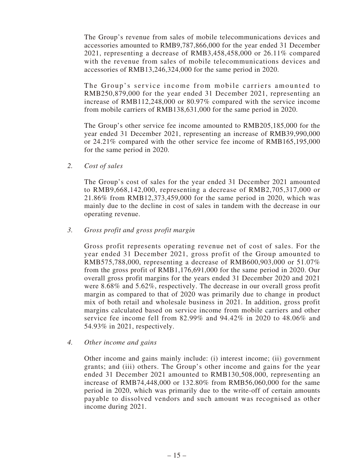The Group's revenue from sales of mobile telecommunications devices and accessories amounted to RMB9,787,866,000 for the year ended 31 December 2021, representing a decrease of RMB3,458,458,000 or 26.11% compared with the revenue from sales of mobile telecommunications devices and accessories of RMB13,246,324,000 for the same period in 2020.

The Group's service income from mobile carriers amounted to RMB250,879,000 for the year ended 31 December 2021, representing an increase of RMB112,248,000 or 80.97% compared with the service income from mobile carriers of RMB138,631,000 for the same period in 2020.

The Group's other service fee income amounted to RMB205,185,000 for the year ended 31 December 2021, representing an increase of RMB39,990,000 or 24.21% compared with the other service fee income of RMB165,195,000 for the same period in 2020.

*2. Cost of sales*

The Group's cost of sales for the year ended 31 December 2021 amounted to RMB9,668,142,000, representing a decrease of RMB2,705,317,000 or 21.86% from RMB12,373,459,000 for the same period in 2020, which was mainly due to the decline in cost of sales in tandem with the decrease in our operating revenue.

*3. Gross profit and gross profit margin*

Gross profit represents operating revenue net of cost of sales. For the year ended 31 December 2021, gross profit of the Group amounted to RMB575,788,000, representing a decrease of RMB600,903,000 or 51.07% from the gross profit of RMB1,176,691,000 for the same period in 2020. Our overall gross profit margins for the years ended 31 December 2020 and 2021 were 8.68% and 5.62%, respectively. The decrease in our overall gross profit margin as compared to that of 2020 was primarily due to change in product mix of both retail and wholesale business in 2021. In addition, gross profit margins calculated based on service income from mobile carriers and other service fee income fell from 82.99% and 94.42% in 2020 to 48.06% and 54.93% in 2021, respectively.

*4. Other income and gains*

Other income and gains mainly include: (i) interest income; (ii) government grants; and (iii) others. The Group's other income and gains for the year ended 31 December 2021 amounted to RMB130,508,000, representing an increase of RMB74,448,000 or 132.80% from RMB56,060,000 for the same period in 2020, which was primarily due to the write-off of certain amounts payable to dissolved vendors and such amount was recognised as other income during 2021.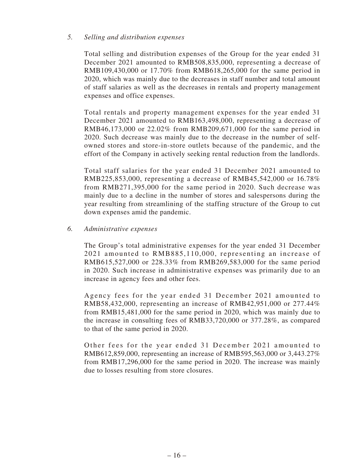### *5. Selling and distribution expenses*

Total selling and distribution expenses of the Group for the year ended 31 December 2021 amounted to RMB508,835,000, representing a decrease of RMB109,430,000 or 17.70% from RMB618,265,000 for the same period in 2020, which was mainly due to the decreases in staff number and total amount of staff salaries as well as the decreases in rentals and property management expenses and office expenses.

Total rentals and property management expenses for the year ended 31 December 2021 amounted to RMB163,498,000, representing a decrease of RMB46,173,000 or 22.02% from RMB209,671,000 for the same period in 2020. Such decrease was mainly due to the decrease in the number of selfowned stores and store-in-store outlets because of the pandemic, and the effort of the Company in actively seeking rental reduction from the landlords.

Total staff salaries for the year ended 31 December 2021 amounted to RMB225,853,000, representing a decrease of RMB45,542,000 or 16.78% from RMB271,395,000 for the same period in 2020. Such decrease was mainly due to a decline in the number of stores and salespersons during the year resulting from streamlining of the staffing structure of the Group to cut down expenses amid the pandemic.

### *6. Administrative expenses*

The Group's total administrative expenses for the year ended 31 December 2021 amounted to RMB885,110,000, representing an increase of RMB615,527,000 or 228.33% from RMB269,583,000 for the same period in 2020. Such increase in administrative expenses was primarily due to an increase in agency fees and other fees.

Agency fees for the year ended 31 December 2021 amounted to RMB58,432,000, representing an increase of RMB42,951,000 or 277.44% from RMB15,481,000 for the same period in 2020, which was mainly due to the increase in consulting fees of RMB33,720,000 or 377.28%, as compared to that of the same period in 2020.

Other fees for the year ended 31 December 2021 amounted to RMB612,859,000, representing an increase of RMB595,563,000 or 3,443.27% from RMB17,296,000 for the same period in 2020. The increase was mainly due to losses resulting from store closures.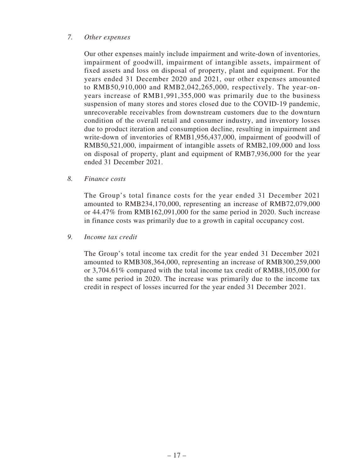### *7. Other expenses*

Our other expenses mainly include impairment and write-down of inventories, impairment of goodwill, impairment of intangible assets, impairment of fixed assets and loss on disposal of property, plant and equipment. For the years ended 31 December 2020 and 2021, our other expenses amounted to RMB50,910,000 and RMB2,042,265,000, respectively. The year-onyears increase of RMB1,991,355,000 was primarily due to the business suspension of many stores and stores closed due to the COVID-19 pandemic, unrecoverable receivables from downstream customers due to the downturn condition of the overall retail and consumer industry, and inventory losses due to product iteration and consumption decline, resulting in impairment and write-down of inventories of RMB1,956,437,000, impairment of goodwill of RMB50,521,000, impairment of intangible assets of RMB2,109,000 and loss on disposal of property, plant and equipment of RMB7,936,000 for the year ended 31 December 2021.

*8. Finance costs*

The Group's total finance costs for the year ended 31 December 2021 amounted to RMB234,170,000, representing an increase of RMB72,079,000 or 44.47% from RMB162,091,000 for the same period in 2020. Such increase in finance costs was primarily due to a growth in capital occupancy cost.

*9. Income tax credit*

The Group's total income tax credit for the year ended 31 December 2021 amounted to RMB308,364,000, representing an increase of RMB300,259,000 or 3,704.61% compared with the total income tax credit of RMB8,105,000 for the same period in 2020. The increase was primarily due to the income tax credit in respect of losses incurred for the year ended 31 December 2021.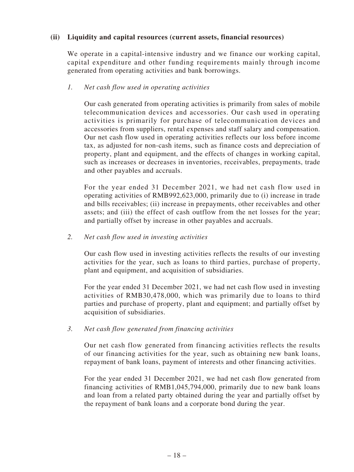## **(ii) Liquidity and capital resources (current assets, financial resources)**

We operate in a capital-intensive industry and we finance our working capital, capital expenditure and other funding requirements mainly through income generated from operating activities and bank borrowings.

### *1. Net cash flow used in operating activities*

Our cash generated from operating activities is primarily from sales of mobile telecommunication devices and accessories. Our cash used in operating activities is primarily for purchase of telecommunication devices and accessories from suppliers, rental expenses and staff salary and compensation. Our net cash flow used in operating activities reflects our loss before income tax, as adjusted for non-cash items, such as finance costs and depreciation of property, plant and equipment, and the effects of changes in working capital, such as increases or decreases in inventories, receivables, prepayments, trade and other payables and accruals.

For the year ended 31 December 2021, we had net cash flow used in operating activities of RMB992,623,000, primarily due to (i) increase in trade and bills receivables; (ii) increase in prepayments, other receivables and other assets; and (iii) the effect of cash outflow from the net losses for the year; and partially offset by increase in other payables and accruals.

### *2. Net cash flow used in investing activities*

Our cash flow used in investing activities reflects the results of our investing activities for the year, such as loans to third parties, purchase of property, plant and equipment, and acquisition of subsidiaries.

For the year ended 31 December 2021, we had net cash flow used in investing activities of RMB30,478,000, which was primarily due to loans to third parties and purchase of property, plant and equipment; and partially offset by acquisition of subsidiaries.

### *3. Net cash flow generated from financing activities*

Our net cash flow generated from financing activities reflects the results of our financing activities for the year, such as obtaining new bank loans, repayment of bank loans, payment of interests and other financing activities.

For the year ended 31 December 2021, we had net cash flow generated from financing activities of RMB1,045,794,000, primarily due to new bank loans and loan from a related party obtained during the year and partially offset by the repayment of bank loans and a corporate bond during the year.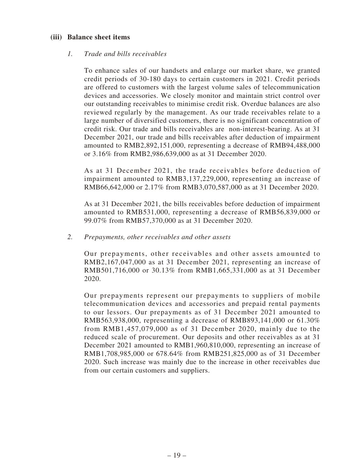### **(iii) Balance sheet items**

### *1. Trade and bills receivables*

To enhance sales of our handsets and enlarge our market share, we granted credit periods of 30-180 days to certain customers in 2021. Credit periods are offered to customers with the largest volume sales of telecommunication devices and accessories. We closely monitor and maintain strict control over our outstanding receivables to minimise credit risk. Overdue balances are also reviewed regularly by the management. As our trade receivables relate to a large number of diversified customers, there is no significant concentration of credit risk. Our trade and bills receivables are non-interest-bearing. As at 31 December 2021, our trade and bills receivables after deduction of impairment amounted to RMB2,892,151,000, representing a decrease of RMB94,488,000 or 3.16% from RMB2,986,639,000 as at 31 December 2020.

As at 31 December 2021, the trade receivables before deduction of impairment amounted to RMB3,137,229,000, representing an increase of RMB66,642,000 or 2.17% from RMB3,070,587,000 as at 31 December 2020.

As at 31 December 2021, the bills receivables before deduction of impairment amounted to RMB531,000, representing a decrease of RMB56,839,000 or 99.07% from RMB57,370,000 as at 31 December 2020.

### *2. Prepayments, other receivables and other assets*

Our prepayments, other receivables and other assets amounted to RMB2,167,047,000 as at 31 December 2021, representing an increase of RMB501,716,000 or 30.13% from RMB1,665,331,000 as at 31 December 2020.

Our prepayments represent our prepayments to suppliers of mobile telecommunication devices and accessories and prepaid rental payments to our lessors. Our prepayments as of 31 December 2021 amounted to RMB563,938,000, representing a decrease of RMB893,141,000 or 61.30% from RMB1,457,079,000 as of 31 December 2020, mainly due to the reduced scale of procurement. Our deposits and other receivables as at 31 December 2021 amounted to RMB1,960,810,000, representing an increase of RMB1,708,985,000 or 678.64% from RMB251,825,000 as of 31 December 2020. Such increase was mainly due to the increase in other receivables due from our certain customers and suppliers.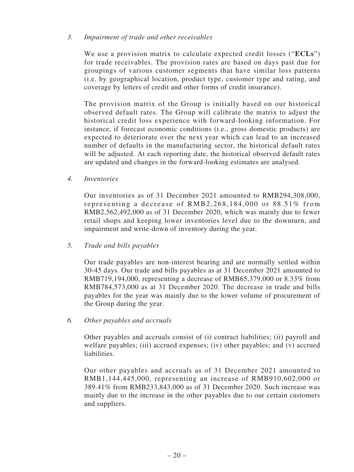### *3. Impairment of trade and other receivables*

We use a provision matrix to calculate expected credit losses ("**ECLs**") for trade receivables. The provision rates are based on days past due for groupings of various customer segments that have similar loss patterns (i.e. by geographical location, product type, customer type and rating, and coverage by letters of credit and other forms of credit insurance).

The provision matrix of the Group is initially based on our historical observed default rates. The Group will calibrate the matrix to adjust the historical credit loss experience with forward-looking information. For instance, if forecast economic conditions (i.e., gross domestic products) are expected to deteriorate over the next year which can lead to an increased number of defaults in the manufacturing sector, the historical default rates will be adjusted. At each reporting date, the historical observed default rates are updated and changes in the forward-looking estimates are analysed.

*4. Inventories*

Our inventories as of 31 December 2021 amounted to RMB294,308,000, representing a decrease of RMB2,268,184,000 or 88.51% from RMB2,562,492,000 as of 31 December 2020, which was mainly due to fewer retail shops and keeping lower inventories level due to the downturn, and impairment and write-down of inventory during the year.

# *5. Trade and bills payables*

Our trade payables are non-interest bearing and are normally settled within 30-45 days. Our trade and bills payables as at 31 December 2021 amounted to RMB719,194,000, representing a decrease of RMB65,379,000 or 8.33% from RMB784,573,000 as at 31 December 2020. The decrease in trade and bills payables for the year was mainly due to the lower volume of procurement of the Group during the year.

### *6. Other payables and accruals*

Other payables and accruals consist of (i) contract liabilities; (ii) payroll and welfare payables; (iii) accrued expenses; (iv) other payables; and (v) accrued liabilities.

Our other payables and accruals as of 31 December 2021 amounted to RMB1,144,445,000, representing an increase of RMB910,602,000 or 389.41% from RMB233,843,000 as of 31 December 2020. Such increase was mainly due to the increase in the other payables due to our certain customers and suppliers.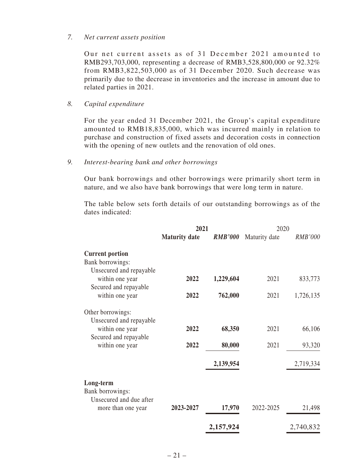#### *7. Net current assets position*

Our net current assets as of  $31$  December 2021 amounted to RMB293,703,000, representing a decrease of RMB3,528,800,000 or 92.32% from RMB3,822,503,000 as of 31 December 2020. Such decrease was primarily due to the decrease in inventories and the increase in amount due to related parties in 2021.

#### *8. Capital expenditure*

For the year ended 31 December 2021, the Group's capital expenditure amounted to RMB18,835,000, which was incurred mainly in relation to purchase and construction of fixed assets and decoration costs in connection with the opening of new outlets and the renovation of old ones.

#### *9. Interest-bearing bank and other borrowings*

Our bank borrowings and other borrowings were primarily short term in nature, and we also have bank borrowings that were long term in nature.

The table below sets forth details of our outstanding borrowings as of the dates indicated:

|                                                                       | 2021                 |                | 2020          |                |
|-----------------------------------------------------------------------|----------------------|----------------|---------------|----------------|
|                                                                       | <b>Maturity date</b> | <b>RMB'000</b> | Maturity date | <b>RMB'000</b> |
| <b>Current portion</b><br>Bank borrowings:<br>Unsecured and repayable |                      |                |               |                |
| within one year<br>Secured and repayable                              | 2022                 | 1,229,604      | 2021          | 833,773        |
| within one year                                                       | 2022                 | 762,000        | 2021          | 1,726,135      |
| Other borrowings:<br>Unsecured and repayable                          |                      |                |               |                |
| within one year<br>Secured and repayable                              | 2022                 | 68,350         | 2021          | 66,106         |
| within one year                                                       | 2022                 | 80,000         | 2021          | 93,320         |
|                                                                       |                      | 2,139,954      |               | 2,719,334      |
| Long-term<br>Bank borrowings:                                         |                      |                |               |                |
| Unsecured and due after<br>more than one year                         | 2023-2027            | 17,970         | 2022-2025     | 21,498         |
|                                                                       |                      | 2,157,924      |               | 2,740,832      |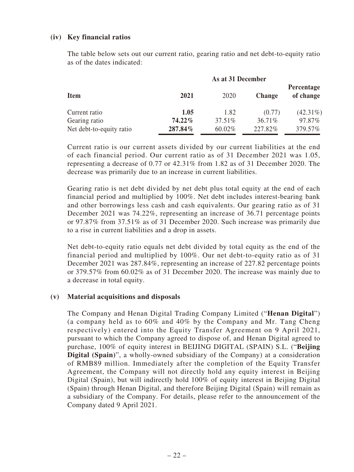## **(iv) Key financial ratios**

The table below sets out our current ratio, gearing ratio and net debt-to-equity ratio as of the dates indicated:

| <b>Item</b>              | As at 31 December |         |               |                         |
|--------------------------|-------------------|---------|---------------|-------------------------|
|                          | 2021              | 2020    | <b>Change</b> | Percentage<br>of change |
| Current ratio            | 1.05              | 1.82    | (0.77)        | $(42.31\%)$             |
| Gearing ratio            | $74.22\%$         | 37.51\% | 36.71%        | 97.87%                  |
| Net debt-to-equity ratio | 287.84%           | 60.02%  | 227.82%       | 379.57%                 |

Current ratio is our current assets divided by our current liabilities at the end of each financial period. Our current ratio as of 31 December 2021 was 1.05, representing a decrease of 0.77 or 42.31% from 1.82 as of 31 December 2020. The decrease was primarily due to an increase in current liabilities.

Gearing ratio is net debt divided by net debt plus total equity at the end of each financial period and multiplied by 100%. Net debt includes interest-bearing bank and other borrowings less cash and cash equivalents. Our gearing ratio as of 31 December 2021 was 74.22%, representing an increase of 36.71 percentage points or 97.87% from 37.51% as of 31 December 2020. Such increase was primarily due to a rise in current liabilities and a drop in assets.

Net debt-to-equity ratio equals net debt divided by total equity as the end of the financial period and multiplied by 100%. Our net debt-to-equity ratio as of 31 December 2021 was 287.84%, representing an increase of 227.82 percentage points or 379.57% from 60.02% as of 31 December 2020. The increase was mainly due to a decrease in total equity.

### **(v) Material acquisitions and disposals**

The Company and Henan Digital Trading Company Limited ("**Henan Digital**") (a company held as to 60% and 40% by the Company and Mr. Tang Cheng respectively) entered into the Equity Transfer Agreement on 9 April 2021, pursuant to which the Company agreed to dispose of, and Henan Digital agreed to purchase, 100% of equity interest in BEIJING DIGITAL (SPAIN) S.L. ("**Beijing Digital (Spain)**", a wholly-owned subsidiary of the Company) at a consideration of RMB89 million. Immediately after the completion of the Equity Transfer Agreement, the Company will not directly hold any equity interest in Beijing Digital (Spain), but will indirectly hold 100% of equity interest in Beijing Digital (Spain) through Henan Digital, and therefore Beijing Digital (Spain) will remain as a subsidiary of the Company. For details, please refer to the announcement of the Company dated 9 April 2021.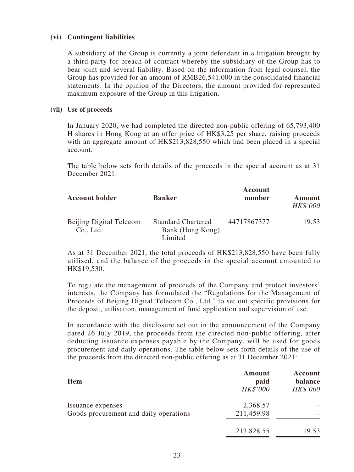### **(vi) Contingent liabilities**

A subsidiary of the Group is currently a joint defendant in a litigation brought by a third party for breach of contract whereby the subsidiary of the Group has to bear joint and several liability. Based on the information from legal counsel, the Group has provided for an amount of RMB26,541,000 in the consolidated financial statements. In the opinion of the Directors, the amount provided for represented maximum exposure of the Group in this litigation.

#### **(vii) Use of proceeds**

In January 2020, we had completed the directed non-public offering of 65,793,400 H shares in Hong Kong at an offer price of HK\$3.25 per share, raising proceeds with an aggregate amount of HK\$213,828,550 which had been placed in a special account.

The table below sets forth details of the proceeds in the special account as at 31 December 2021:

| <b>Account holder</b>                | <b>Banker</b>                                            | Account<br>number | Amount<br><b>HK\$'000</b> |
|--------------------------------------|----------------------------------------------------------|-------------------|---------------------------|
| Beijing Digital Telecom<br>Co., Ltd. | <b>Standard Chartered</b><br>Bank (Hong Kong)<br>Limited | 44717867377       | 19.53                     |

As at 31 December 2021, the total proceeds of HK\$213,828,550 have been fully utilised, and the balance of the proceeds in the special account amounted to HK\$19,530.

To regulate the management of proceeds of the Company and protect investors' interests, the Company has formulated the "Regulations for the Management of Proceeds of Beijing Digital Telecom Co., Ltd." to set out specific provisions for the deposit, utilisation, management of fund application and supervision of use.

In accordance with the disclosure set out in the announcement of the Company dated 26 July 2019, the proceeds from the directed non-public offering, after deducting issuance expenses payable by the Company, will be used for goods procurement and daily operations. The table below sets forth details of the use of the proceeds from the directed non-public offering as at 31 December 2021:

| <b>Item</b>                            | Amount<br>paid<br>HK\$'000 | Account<br>balance<br>HK\$'000 |
|----------------------------------------|----------------------------|--------------------------------|
| Issuance expenses                      | 2,368.57                   |                                |
| Goods procurement and daily operations | 211,459.98                 |                                |
|                                        | 213,828.55                 | 19.53                          |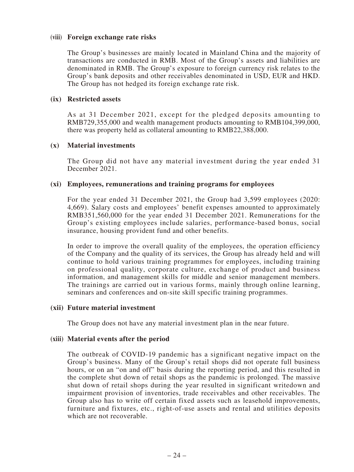#### **(viii) Foreign exchange rate risks**

The Group's businesses are mainly located in Mainland China and the majority of transactions are conducted in RMB. Most of the Group's assets and liabilities are denominated in RMB. The Group's exposure to foreign currency risk relates to the Group's bank deposits and other receivables denominated in USD, EUR and HKD. The Group has not hedged its foreign exchange rate risk.

#### **(ix) Restricted assets**

As at 31 December 2021, except for the pledged deposits amounting to RMB729,355,000 and wealth management products amounting to RMB104,399,000, there was property held as collateral amounting to RMB22,388,000.

#### **(x) Material investments**

The Group did not have any material investment during the year ended 31 December 2021.

#### **(xi) Employees, remunerations and training programs for employees**

For the year ended 31 December 2021, the Group had 3,599 employees (2020: 4,669). Salary costs and employees' benefit expenses amounted to approximately RMB351,560,000 for the year ended 31 December 2021. Remunerations for the Group's existing employees include salaries, performance-based bonus, social insurance, housing provident fund and other benefits.

In order to improve the overall quality of the employees, the operation efficiency of the Company and the quality of its services, the Group has already held and will continue to hold various training programmes for employees, including training on professional quality, corporate culture, exchange of product and business information, and management skills for middle and senior management members. The trainings are carried out in various forms, mainly through online learning, seminars and conferences and on-site skill specific training programmes.

#### **(xii) Future material investment**

The Group does not have any material investment plan in the near future.

#### **(xiii) Material events after the period**

The outbreak of COVID-19 pandemic has a significant negative impact on the Group's business. Many of the Group's retail shops did not operate full business hours, or on an "on and off" basis during the reporting period, and this resulted in the complete shut down of retail shops as the pandemic is prolonged. The massive shut down of retail shops during the year resulted in significant writedown and impairment provision of inventories, trade receivables and other receivables. The Group also has to write off certain fixed assets such as leasehold improvements, furniture and fixtures, etc., right-of-use assets and rental and utilities deposits which are not recoverable.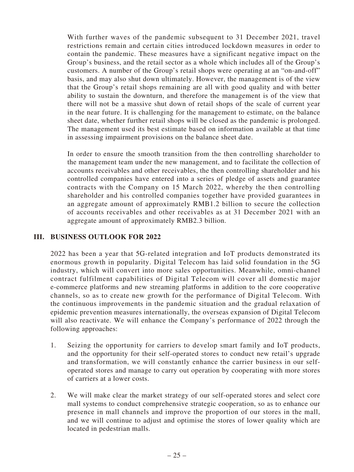With further waves of the pandemic subsequent to 31 December 2021, travel restrictions remain and certain cities introduced lockdown measures in order to contain the pandemic. These measures have a significant negative impact on the Group's business, and the retail sector as a whole which includes all of the Group's customers. A number of the Group's retail shops were operating at an "on-and-off" basis, and may also shut down ultimately. However, the management is of the view that the Group's retail shops remaining are all with good quality and with better ability to sustain the downturn, and therefore the management is of the view that there will not be a massive shut down of retail shops of the scale of current year in the near future. It is challenging for the management to estimate, on the balance sheet date, whether further retail shops will be closed as the pandemic is prolonged. The management used its best estimate based on information available at that time in assessing impairment provisions on the balance sheet date.

In order to ensure the smooth transition from the then controlling shareholder to the management team under the new management, and to facilitate the collection of accounts receivables and other receivables, the then controlling shareholder and his controlled companies have entered into a series of pledge of assets and guarantee contracts with the Company on 15 March 2022, whereby the then controlling shareholder and his controlled companies together have provided guarantees in an aggregate amount of approximately RMB1.2 billion to secure the collection of accounts receivables and other receivables as at 31 December 2021 with an aggregate amount of approximately RMB2.3 billion.

## **III. BUSINESS OUTLOOK FOR 2022**

2022 has been a year that 5G-related integration and IoT products demonstrated its enormous growth in popularity. Digital Telecom has laid solid foundation in the 5G industry, which will convert into more sales opportunities. Meanwhile, omni-channel contract fulfilment capabilities of Digital Telecom will cover all domestic major e-commerce platforms and new streaming platforms in addition to the core cooperative channels, so as to create new growth for the performance of Digital Telecom. With the continuous improvements in the pandemic situation and the gradual relaxation of epidemic prevention measures internationally, the overseas expansion of Digital Telecom will also reactivate. We will enhance the Company's performance of 2022 through the following approaches:

- 1. Seizing the opportunity for carriers to develop smart family and IoT products, and the opportunity for their self-operated stores to conduct new retail's upgrade and transformation, we will constantly enhance the carrier business in our selfoperated stores and manage to carry out operation by cooperating with more stores of carriers at a lower costs.
- 2. We will make clear the market strategy of our self-operated stores and select core mall systems to conduct comprehensive strategic cooperation, so as to enhance our presence in mall channels and improve the proportion of our stores in the mall, and we will continue to adjust and optimise the stores of lower quality which are located in pedestrian malls.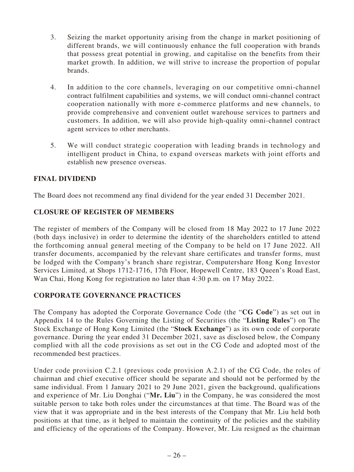- 3. Seizing the market opportunity arising from the change in market positioning of different brands, we will continuously enhance the full cooperation with brands that possess great potential in growing, and capitalise on the benefits from their market growth. In addition, we will strive to increase the proportion of popular brands.
- 4. In addition to the core channels, leveraging on our competitive omni-channel contract fulfilment capabilities and systems, we will conduct omni-channel contract cooperation nationally with more e-commerce platforms and new channels, to provide comprehensive and convenient outlet warehouse services to partners and customers. In addition, we will also provide high-quality omni-channel contract agent services to other merchants.
- 5. We will conduct strategic cooperation with leading brands in technology and intelligent product in China, to expand overseas markets with joint efforts and establish new presence overseas.

# **FINAL DIVIDEND**

The Board does not recommend any final dividend for the year ended 31 December 2021.

# **CLOSURE OF REGISTER OF MEMBERS**

The register of members of the Company will be closed from 18 May 2022 to 17 June 2022 (both days inclusive) in order to determine the identity of the shareholders entitled to attend the forthcoming annual general meeting of the Company to be held on 17 June 2022. All transfer documents, accompanied by the relevant share certificates and transfer forms, must be lodged with the Company's branch share registrar, Computershare Hong Kong Investor Services Limited, at Shops 1712-1716, 17th Floor, Hopewell Centre, 183 Queen's Road East, Wan Chai, Hong Kong for registration no later than 4:30 p.m. on 17 May 2022.

# **CORPORATE GOVERNANCE PRACTICES**

The Company has adopted the Corporate Governance Code (the "**CG Code**") as set out in Appendix 14 to the Rules Governing the Listing of Securities (the "**Listing Rules**") on The Stock Exchange of Hong Kong Limited (the "**Stock Exchange**") as its own code of corporate governance. During the year ended 31 December 2021, save as disclosed below, the Company complied with all the code provisions as set out in the CG Code and adopted most of the recommended best practices.

Under code provision C.2.1 (previous code provision A.2.1) of the CG Code, the roles of chairman and chief executive officer should be separate and should not be performed by the same individual. From 1 January 2021 to 29 June 2021, given the background, qualifications and experience of Mr. Liu Donghai ("**Mr. Liu**") in the Company, he was considered the most suitable person to take both roles under the circumstances at that time. The Board was of the view that it was appropriate and in the best interests of the Company that Mr. Liu held both positions at that time, as it helped to maintain the continuity of the policies and the stability and efficiency of the operations of the Company. However, Mr. Liu resigned as the chairman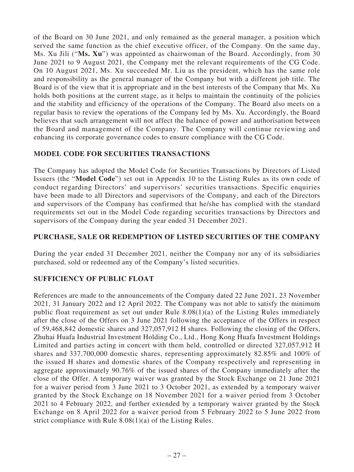of the Board on 30 June 2021, and only remained as the general manager, a position which served the same function as the chief executive officer, of the Company. On the same day, Ms. Xu Jili ("**Ms. Xu**") was appointed as chairwoman of the Board. Accordingly, from 30 June 2021 to 9 August 2021, the Company met the relevant requirements of the CG Code. On 10 August 2021, Ms. Xu succeeded Mr. Liu as the president, which has the same role and responsibility as the general manager of the Company but with a different job title. The Board is of the view that it is appropriate and in the best interests of the Company that Ms. Xu holds both positions at the current stage, as it helps to maintain the continuity of the policies and the stability and efficiency of the operations of the Company. The Board also meets on a regular basis to review the operations of the Company led by Ms. Xu. Accordingly, the Board believes that such arrangement will not affect the balance of power and authorisation between the Board and management of the Company. The Company will continue reviewing and enhancing its corporate governance codes to ensure compliance with the CG Code.

# **MODEL CODE FOR SECURITIES TRANSACTIONS**

The Company has adopted the Model Code for Securities Transactions by Directors of Listed Issuers (the "**Model Code**") set out in Appendix 10 to the Listing Rules as its own code of conduct regarding Directors' and supervisors' securities transactions. Specific enquiries have been made to all Directors and supervisors of the Company, and each of the Directors and supervisors of the Company has confirmed that he/she has complied with the standard requirements set out in the Model Code regarding securities transactions by Directors and supervisors of the Company during the year ended 31 December 2021.

# **PURCHASE, SALE OR REDEMPTION OF LISTED SECURITIES OF THE COMPANY**

During the year ended 31 December 2021, neither the Company nor any of its subsidiaries purchased, sold or redeemed any of the Company's listed securities.

# **SUFFICIENCY OF PUBLIC FLOAT**

References are made to the announcements of the Company dated 22 June 2021, 23 November 2021, 31 January 2022 and 12 April 2022. The Company was not able to satisfy the minimum public float requirement as set out under Rule 8.08(1)(a) of the Listing Rules immediately after the close of the Offers on 3 June 2021 following the acceptance of the Offers in respect of 59,468,842 domestic shares and 327,057,912 H shares. Following the closing of the Offers, Zhuhai Huafa Industrial Investment Holding Co., Ltd., Hong Kong Huafa Investment Holdings Limited and parties acting in concert with them held, controlled or directed 327,057,912 H shares and 337,700,000 domestic shares, representing approximately 82.85% and 100% of the issued H shares and domestic shares of the Company respectively and representing in aggregate approximately 90.76% of the issued shares of the Company immediately after the close of the Offer. A temporary waiver was granted by the Stock Exchange on 21 June 2021 for a waiver period from 3 June 2021 to 3 October 2021, as extended by a temporary waiver granted by the Stock Exchange on 18 November 2021 for a waiver period from 3 October 2021 to 4 February 2022, and further extended by a temporary waiver granted by the Stock Exchange on 8 April 2022 for a waiver period from 5 February 2022 to 5 June 2022 from strict compliance with Rule 8.08(1)(a) of the Listing Rules.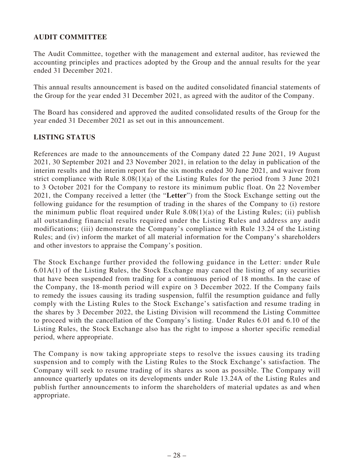# **AUDIT COMMITTEE**

The Audit Committee, together with the management and external auditor, has reviewed the accounting principles and practices adopted by the Group and the annual results for the year ended 31 December 2021.

This annual results announcement is based on the audited consolidated financial statements of the Group for the year ended 31 December 2021, as agreed with the auditor of the Company.

The Board has considered and approved the audited consolidated results of the Group for the year ended 31 December 2021 as set out in this announcement.

# **LISTING STATUS**

References are made to the announcements of the Company dated 22 June 2021, 19 August 2021, 30 September 2021 and 23 November 2021, in relation to the delay in publication of the interim results and the interim report for the six months ended 30 June 2021, and waiver from strict compliance with Rule 8.08(1)(a) of the Listing Rules for the period from 3 June 2021 to 3 October 2021 for the Company to restore its minimum public float. On 22 November 2021, the Company received a letter (the "**Letter**") from the Stock Exchange setting out the following guidance for the resumption of trading in the shares of the Company to (i) restore the minimum public float required under Rule  $8.08(1)(a)$  of the Listing Rules; (ii) publish all outstanding financial results required under the Listing Rules and address any audit modifications; (iii) demonstrate the Company's compliance with Rule 13.24 of the Listing Rules; and (iv) inform the market of all material information for the Company's shareholders and other investors to appraise the Company's position.

The Stock Exchange further provided the following guidance in the Letter: under Rule 6.01A(1) of the Listing Rules, the Stock Exchange may cancel the listing of any securities that have been suspended from trading for a continuous period of 18 months. In the case of the Company, the 18-month period will expire on 3 December 2022. If the Company fails to remedy the issues causing its trading suspension, fulfil the resumption guidance and fully comply with the Listing Rules to the Stock Exchange's satisfaction and resume trading in the shares by 3 December 2022, the Listing Division will recommend the Listing Committee to proceed with the cancellation of the Company's listing. Under Rules 6.01 and 6.10 of the Listing Rules, the Stock Exchange also has the right to impose a shorter specific remedial period, where appropriate.

The Company is now taking appropriate steps to resolve the issues causing its trading suspension and to comply with the Listing Rules to the Stock Exchange's satisfaction. The Company will seek to resume trading of its shares as soon as possible. The Company will announce quarterly updates on its developments under Rule 13.24A of the Listing Rules and publish further announcements to inform the shareholders of material updates as and when appropriate.